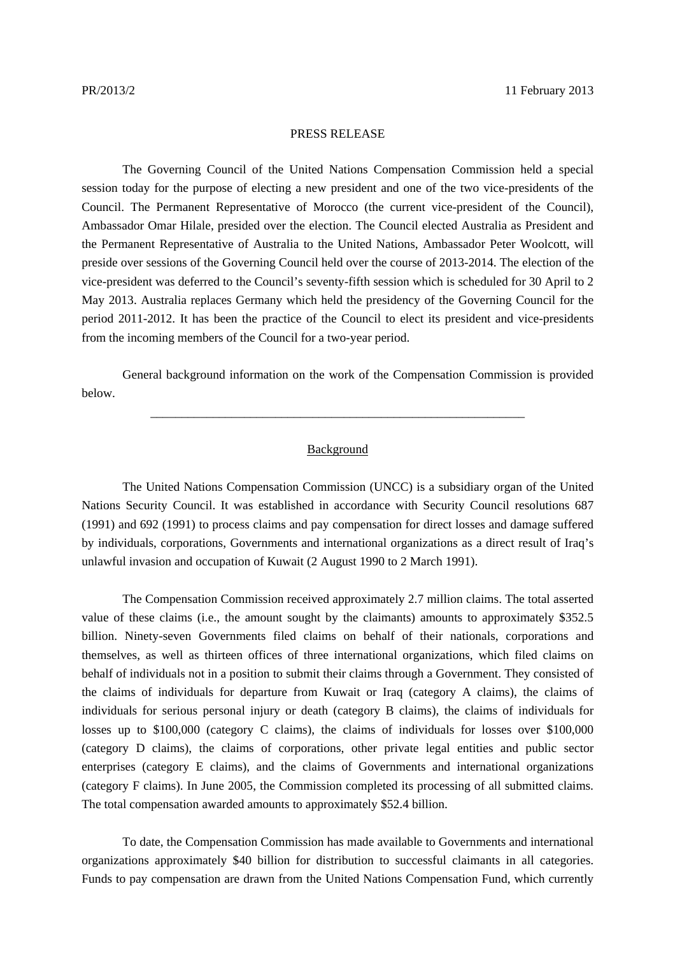## PRESS RELEASE

 The Governing Council of the United Nations Compensation Commission held a special session today for the purpose of electing a new president and one of the two vice-presidents of the Council. The Permanent Representative of Morocco (the current vice-president of the Council), Ambassador Omar Hilale, presided over the election. The Council elected Australia as President and the Permanent Representative of Australia to the United Nations, Ambassador Peter Woolcott, will preside over sessions of the Governing Council held over the course of 2013-2014. The election of the vice-president was deferred to the Council's seventy-fifth session which is scheduled for 30 April to 2 May 2013. Australia replaces Germany which held the presidency of the Governing Council for the period 2011-2012. It has been the practice of the Council to elect its president and vice-presidents from the incoming members of the Council for a two-year period.

General background information on the work of the Compensation Commission is provided below.

\_\_\_\_\_\_\_\_\_\_\_\_\_\_\_\_\_\_\_\_\_\_\_\_\_\_\_\_\_\_\_\_\_\_\_\_\_\_\_\_\_\_\_\_\_\_\_\_\_\_\_\_\_\_\_\_\_\_\_\_

## Background

 The United Nations Compensation Commission (UNCC) is a subsidiary organ of the United Nations Security Council. It was established in accordance with Security Council resolutions 687 (1991) and 692 (1991) to process claims and pay compensation for direct losses and damage suffered by individuals, corporations, Governments and international organizations as a direct result of Iraq's unlawful invasion and occupation of Kuwait (2 August 1990 to 2 March 1991).

 The Compensation Commission received approximately 2.7 million claims. The total asserted value of these claims (i.e., the amount sought by the claimants) amounts to approximately \$352.5 billion. Ninety-seven Governments filed claims on behalf of their nationals, corporations and themselves, as well as thirteen offices of three international organizations, which filed claims on behalf of individuals not in a position to submit their claims through a Government. They consisted of the claims of individuals for departure from Kuwait or Iraq (category A claims), the claims of individuals for serious personal injury or death (category B claims), the claims of individuals for losses up to \$100,000 (category C claims), the claims of individuals for losses over \$100,000 (category D claims), the claims of corporations, other private legal entities and public sector enterprises (category E claims), and the claims of Governments and international organizations (category F claims). In June 2005, the Commission completed its processing of all submitted claims. The total compensation awarded amounts to approximately \$52.4 billion.

 To date, the Compensation Commission has made available to Governments and international organizations approximately \$40 billion for distribution to successful claimants in all categories. Funds to pay compensation are drawn from the United Nations Compensation Fund, which currently